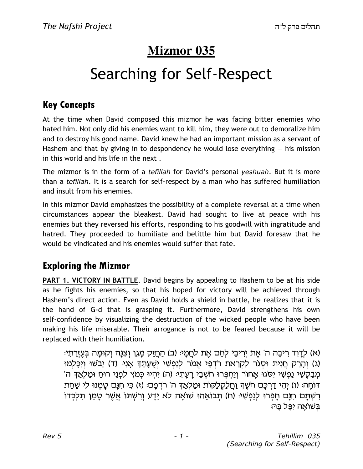# **Mizmor 035**

# Searching for Self-Respect

## Key Concepts

At the time when David composed this mizmor he was facing bitter enemies who hated him. Not only did his enemies want to kill him, they were out to demoralize him and to destroy his good name. David knew he had an important mission as a servant of Hashem and that by giving in to despondency he would lose everything — his mission in this world and his life in the next .

The mizmor is in the form of a *tefillah* for David's personal *yeshuah*. But it is more than a tefillah. It is a search for self-respect by a man who has suffered humiliation and insult from his enemies.

In this mizmor David emphasizes the possibility of a complete reversal at a time when circumstances appear the bleakest. David had sought to live at peace with his enemies but they reversed his efforts, responding to his goodwill with ingratitude and hatred. They proceeded to humiliate and belittle him but David foresaw that he would be vindicated and his enemies would suffer that fate.

## Exploring the Mizmor

PART 1. VICTORY IN BATTLE. David begins by appealing to Hashem to be at his side as he fights his enemies, so that his hoped for victory will be achieved through Hashem's direct action. Even as David holds a shield in battle, he realizes that it is the hand of G-d that is grasping it. Furthermore, David strengthens his own self-confidence by visualizing the destruction of the wicked people who have been making his life miserable. Their arrogance is not to be feared because it will be replaced with their humiliation.

(א) לדוד ריבה ה' את יריבי לחם את לחמי: (ב) החזק מגן וצנה וקומה בעזרתי: (ג) וְהָרֶק חֲנִית וּסְגֹר לִקְרַאת רֹדְפָי אֱמֹר לִנַפְשִׁי יִשֻׁעֲתֵךְ אֲנִיּ (ד) יָבֹשׁוּ וְיִכָּלְמוּ 'מְבַקָשֶׁי נַפְשִׁי יִסְגוּ אַחוֹר וְיַחְפְּרוּ חֹשָׁבֵי רַעֲתָיּ (ה) יִהְיוּ כְּמֹץ לִפְנֵי רוּחַ וּמַלְאֲדָ ה דוחֵה: (ו) יְהִי דַרְכָּם חֹשֶׁדְ וַחֲלַקְלַקּוֹת וּמַלְאֲדְ ה' רֹדְפָם: (ז) כִּי חִנַּם טַמְנוּ לִי שַׁחַת ּרְשְׁתַּם חִנַּם חַפְרוּ לִנַפְשִׁיּ (ח) תְּבוֹאֱהוּ שׁוֹאֲה לֹא יֵדַע וְרִשְׁתּוֹ אֲשֶׁר טַמַן תִּלְכְּדוֹ ּבַּשׁוֹאַה יְפֵּל בַּהּ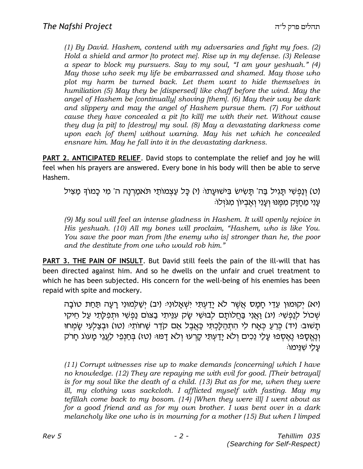(1) By David. Hashem, contend with my adversaries and fight my foes. (2) Hold a shield and armor [to protect me]. Rise up in my defense. (3) Release a spear to block my pursuers. Say to my soul, "I am your yeshuah." (4) May those who seek my life be embarrassed and shamed. May those who plot my harm be turned back. Let them want to hide themselves in humiliation (5) May they be [dispersed] like chaff before the wind. May the angel of Hashem be [continually] shoving [them]. (6) May their way be dark and slippery and may the angel of Hashem pursue them. (7) For without cause they have concealed a pit [to kill] me with their net. Without cause they dug [a pit] to [destroy] my soul. (8) May a devastating darkness come upon each [of them] without warning. May his net which he concealed ensnare him. May he fall into it in the devastating darkness.

PART 2. ANTICIPATED RELIEF. David stops to contemplate the relief and joy he will feel when his prayers are answered. Every bone in his body will then be able to serve Hashem.

(ט) וְנַפְשִׁי תַּגְיל בַּה' תַּשִׂישׂ בִּישׁוּעַתוּ (י) כַּל עַצְמוֹתַי תֹּאמַרְנַה ה' מִי כַּמוֹדְ מַצִּיל עני מחזק ממנו ועני ואביון מגזלו:

(9) My soul will feel an intense gladness in Hashem. It will openly rejoice in His yeshuah. (10) All my bones will proclaim, "Hashem, who is like You. You save the poor man from *[the enemy who is]* stronger than he, the poor and the destitute from one who would rob him."

PART 3. THE PAIN OF INSULT. But David still feels the pain of the ill-will that has been directed against him. And so he dwells on the unfair and cruel treatment to which he has been subjected. His concern for the well-being of his enemies has been repaid with spite and mockery.

יקומון עֶדֵי חַמֲס אֲשֶׁר לֹא יַדְעְתִּי יִשְׁאֲלוֹנְיּ (יִב) יִשֲׁלְמוּנִי רַעֲה תַּחַת טוֹבָה) שְׁכוֹל לְנַפְשִׁי: (יג) וַאֲנִי בַּחֲלוֹתֵם לְבוּשִׁי שֶׂק עְנֵיתֵי בַצּוֹם נַפְשִׁי וּתְפַלְתֵי עַל חֵיקָי ּתֲשׁוּבּ: (יד) כְּרֵעַ כְּאַח לִי הְתְהַלָּכְתִּי כָּאֲבֶל אֵם קֹדֵר שַׁחוֹתָי: (טו) וּבְצַלְעִי שַׂמְחוּ וְנֵאֵסָפוּ נֵאֵסִפוּ עָלַי נֵכִים וְלֹא יָדַעִתִּי קָרְעוּ וְלֹא דָמוּּ (טז) בִּחַנְפֵי לַעֲגֵי מָעוֹג חָרֹק ּעֲלַי שָׁנֵּימוֹ

(11) Corrupt witnesses rise up to make demands [concerning] which I have no knowledge. (12) They are repaying me with evil for good. [Their betrayal] is for my soul like the death of a child. (13) But as for me, when they were ill, my clothing was sackcloth. I afflicted myself with fasting. May my tefillah come back to my bosom.  $(14)$  [When they were ill] I went about as for a good friend and as for my own brother. I was bent over in a dark melancholy like one who is in mourning for a mother (15) But when I limped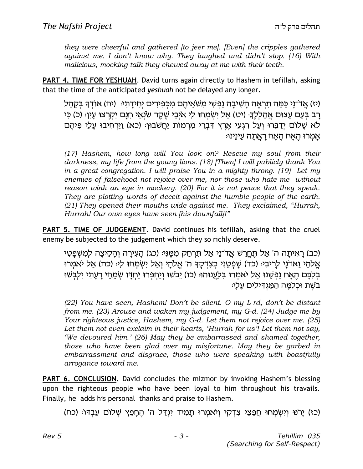they were cheerful and gathered [to jeer me]. [Even] the cripples gathered against me. I don't know why. They laughed and didn't stop. (16) With malicious, mocking talk they chewed away at me with their teeth.

PART 4. TIME FOR YESHUAH. David turns again directly to Hashem in tefillah, asking that the time of the anticipated yeshuah not be delayed any longer.

(יז) אֲדֹ־נֵי כַּמֲה תִרְאֵה הַשִּׁיבַה נַפְשִׁי מִשֹּׁאֵיהֶם מִכְּפִירִים יְחִידַתְיּ: (יח) אוֹדְךָ בִּקַהַל רַב בִּעֲם עֲצוּם אֲהַלָלֶךָ: (יט) אֲל יְשָׂמְחוּ לִי אֹיְבַי שֶׁקֶר שֹׂנְאֵי חִנַּם יְקָרְצוּ עֵיִן: (כ) כִּי לֹא שָׁלוֹם יִדַבֵּרוּ וְעַל רְגְעֵי אֶרֶץ דְּבְרֵי מִרְמוֹת יַחֲשֹׁבוּן: (כֹא) וַיַּרְחִיבוּ עָלַי פִּיהֵם אמרו האח האח ראתה עינינו

(17) Hashem, how long will You look on? Rescue my soul from their darkness, my life from the young lions. (18) [Then] I will publicly thank You in a great congregation. I will praise You in a mighty throng. (19) Let my enemies of falsehood not rejoice over me, nor those who hate me without reason wink an eye in mockery. (20) For it is not peace that they speak. They are plotting words of deceit against the humble people of the earth. (21) They opened their mouths wide against me. They exclaimed, "Hurrah, Hurrah! Our own eyes have seen [his downfall]!"

PART 5. TIME OF JUDGEMENT. David continues his tefillah, asking that the cruel enemy be subjected to the judgement which they so richly deserve.

(כב) רַאִיתַה ה' אַל תַּחֱרֹשׁ אֲדֹ־נַי אַל תִּרְחַק מְמֵנִיּ (כג) הַעְיַרָה וְהַקִיצַה לִמְשָׁפֵּטִי אַלהֵי וַאדֹנֵי לַרִיבְיּ (כד) שַׁפְטֶנִי כְּצְדָקֶדָּ ה' אֱלֹהֵי וְאֵל יְשָׂמְחוּ לִיּ (כה) אֲל יֹאמֵרוּ בְּלְבֵּם הֵאֲח נַפִשְׁנוּ אַל יֹאמְרוּ בִּלַעֲנוּהוּּ (כו) יֵבֹשׁוּ וְיַחְפְּרוּ יַחְדָו שְׂמֵחֵי רָעֲתִי יִלְבְּשׁוּ בֹשֶׁת וּכְלִמֵּה הַמַּגְדִילִים עַלַיּ:

(22) You have seen, Hashem! Don't be silent. O my L-rd, don't be distant from me. (23) Arouse and waken my judgement, my G-d. (24) Judge me by Your righteous justice, Hashem, my G-d. Let them not rejoice over me. (25) Let them not even exclaim in their hearts, 'Hurrah for us'! Let them not say, 'We devoured him.' (26) May they be embarrassed and shamed together, those who have been glad over my misfortune. May they be garbed in embarrassment and disgrace, those who were speaking with boastfully arrogance toward me.

PART 6. CONCLUSION. David concludes the mizmor by invoking Hashem's blessing upon the righteous people who have been loyal to him throughout his travails. Finally, he adds his personal thanks and praise to Hashem.

(כז) יַרֹנוּ וְיִשְׂמְחוּ חֲפֵצֵי צְדָקִי וְיֹאמְרוּ תַמְיד יְגְדַל ה' הֵחַפֵּץ שְׁלוֹם עַבְדּוּ (כח)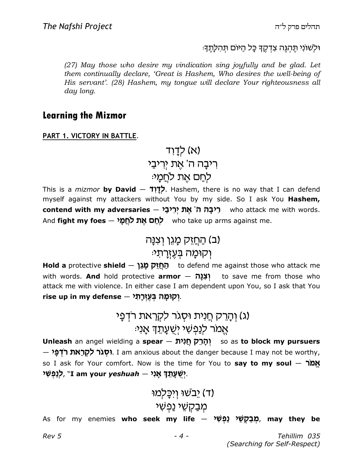וּלְשׁוֹנִי תֵּהִגֶּה צִדְקֵדְ כַּל הַיּוֹם תִּהְלַתֵּדְּ:

(27) May those who desire my vindication sing joyfully and be glad. Let them continually declare, 'Great is Hashem, Who desires the well-being of His servant'. (28) Hashem, my tongue will declare Your righteousness all day long.

### Learning the Mizmor

PART 1. VICTORY IN BATTLE.

(א) לַדַוְד רִיבָה ה' אֶת יְרִיבַי לִחַם אֵת לחֲמַי:

This is a *mizmor* **by David – לְדָוֹד**, Hashem, there is no way that I can defend myself against my attackers without You by my side. So I ask You Hashem, c**ontend with my adversaries – רִיבָר ה' אֶת יְרִיבַי** who attack me with words. And fight my foes  $-$  אֶת לֹחֲמַי who take up arms against me.

# (ב) <u>החזק מגן וצנ</u>ה ו קוּמַה בַּעֲזֵרת*י*

Hold a protective shield  $-$  הַחֲזֵק מַגֵּךְ to defend me against those who attack me with words. **And** hold protective **armor** - יְצָנָה to save me from those who attack me with violence. In either case I am dependent upon You, so I ask that You rise up in my defense – יִקוּמָה בְּעֶזְרָתִ*י* 

# (ג) וְהַרֵק חֲנִית וּסָגר לִקְרַאת רדְפַי אָמר לְנַפְשִׁי יִשְׁעֲתֶךָ אֲנִי<sub>ْ</sub>

Unleash an angel wielding a spear — יְהָרֵק חֲנִית so as to block my pursuers  $-$  יִפְגֹר לִקְרַאת רֹדְפָּי $\cdot$  . I am anxious about the danger because I may not be worthy, so I ask for Your comfort. Now is the time for You to say to my soul  $-$  אֲמֹר $\sim$ יְשֻׁעָּתֵךְ אָנִי — I am your *yeshuah . יְ*שֻׁעָּתֵךְ אָנ

(ד) יֵבשׁוּ וְיכַּלְמוּ)

# מִבַּקְשֵׁי <u>נ</u>ְפָ**שִׁי**

As for my enemies **who seek my life — מְבַקְ**שֵׁל **בַפְשִׂי נַפְּשִׁר** – As for my enemies **who seek my life**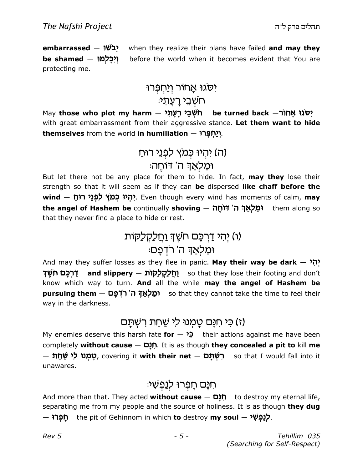embarrassed – עבשו $\bullet$  when they realize their plans have failed and may they be shamed – ויכלמו before the world when it becomes evident that You are protecting me.

# ישגו אָחור וְ<u>י</u>ּחְפְּרוּ ּחֹשָׁבֵי רַעֲתִי

May those who plot my harm — תֹשְׁבֵי רָעָתִי — be turned back  $\rightarrow$ חוֹר $\,$  May with great embarrassment from their aggressive stance. Let them want to hide themselves from the world in humiliation  $-$  יוֹמְפְרוּ $\mathbf{P}$ 

> וה) יהיו כמץ לפני רוח וּמַלאַךְ ה' דוחֵה<del>.</del>

But let there not be any place for them to hide. In fact, may they lose their strength so that it will seem as if they can be dispersed like chaff before the wind — יִהְיוּ כְּמֹץ לִפְנֵי רוּחַ?. Even though every wind has moments of calm, may t**he angel of Hashem be** continually **shoving — וּמֵלְאֲדָּ ה' דוֹחֵה** the **angel of Hashem be** continually **shoving** that they never find a place to hide or rest.

# (ו) יְהִי דַּרְכָּם חֹשֵׁךְ <u>וְחַלַקְלַ</u>קוֹת וּמַלְאַדְּ ה' רדְפַם:

And may they suffer losses as they flee in panic. May their way be dark  $\gamma$ יָ וַחֲלַקוֹת — and slippery (חַלַקְלַקּוֹת — so that they lose their footing and don't know which way to turn. And all the while may the angel of Hashem be pursuing them – וּמַלֹאַדְּ ה' רֹדְפָם so that they cannot take the time to feel their way in the darkness.

## (ז) כֵּי חִנֵּם טַמְנוּ לִי שַׁחַת רִשְׁתֵּם

My enemies deserve this harsh fate for  $\rightarrow$   $\rightarrow$  their actions against me have been completely without cause  $-$  חָנָם. It is as though they concealed a pit to kill me  $-$  לְמְנוּ לִי שַׁחַת Q, covering it **with their net**  $-$  רִשְׁתָּם so that I would fall into it unawares.

## ּהַנַּם חַפְרוּ לִנַפְשִׁי

And more than that. They acted without cause  $-$  פְתָּם to destroy my eternal life, separating me from my people and the source of holiness. It is as though they dug  $\bm{\mu}$ לְנַפְשִׁי the pit of Gehinnom in which **to** destroy **my soul**  $-$  **לְנַפְשִׁי**.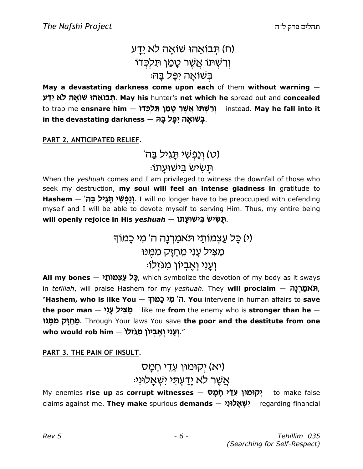# ח) תבואהו שואה לא <u>יד</u>ע) ורשִׁתּו אַשֵׁר טָמַן תּלכּדו ּבִשׁוֹאַה יפֵּל בַּה

May a devastating darkness come upon each of them without warning  $-$ תּבוֹאֵהוּ שוֹאַה לֹא יַדַע. May his hunter's net which he spread out and concealed to trap me **ensnare him — רִשְׁתּוֹ אֲשֶׁר טָמַן תִּלְכְּדוֹ** instead. May he fall into it in the devastating darkness  $-$  בְּשׁוֹאָה יִפָּל בָּה

#### PART 2. ANTICIPATED RELIEF.

'(ט) וְנַפְשָׁי תַגְיל בַּה) ּתַשִׂישׂ בִּישׁוּעַתוֹ

When the *yeshuah* comes and I am privileged to witness the downfall of those who seek my destruction, my soul will feel an intense gladness in gratitude to Hashem — יְנַפְשִׁי תְּגִיל בַּה', I will no longer have to be preoccupied with defending myself and I will be able to devote myself to serving Him. Thus, my entire being will openly rejoice in His *yeshuah – תָּ*שִׂישׂ בִּישׁוּעָתוֹ,

> (י) כַּל עַצְמוֹתַי תֹּאמַרְנַה ה' מִי כַּמוֹד מַצִּיל עֲנִי מֵחַזַק מִמֵּנוּ ּוְעֲנִי וְאֵבְיוֹן מִגּזְלוֹ

All my bones  $-$  לֵל עֲצְמוֹתֵל p, which symbolize the devotion of my body as it sways in tefillah, will praise Hashem for my yeshuah. They will proclaim  $-$  תֹאמֲרָנַה, "**Hashem, who is like You — ה' מִי כָמוֹדָ. You** intervene in human affairs to **save** the poor man  $-$  מַצִּיל עָנִי [like me from the enemy who is stronger than he  $-$ מֵחָזָק מִמֶּנוּ Through Your laws You save **the poor and the destitute from one** who would rob him – יְעָנִי וְאֶבְיוֹן מִגּזְלוֹ.

PART 3. THE PAIN OF INSULT.

# י יקומון עֵדֵי חַמַּס) (**י**א :אַשֶׁר לא <u>ידעתי ישְאַלוּני</u>

My enemies rise up as corrupt witnesses – יקומון עֵדֵי תָם io make false claims against me. **They make** spurious **demands — יִשְׁאָלוּנִי r**egarding financial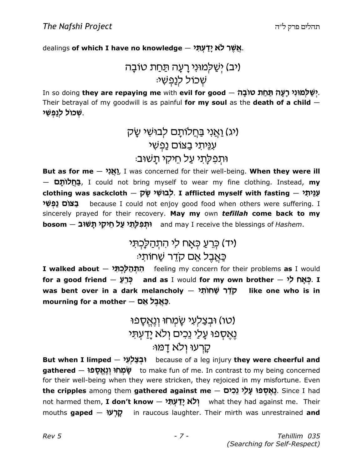dealings **of which I have no knowledge – אֲ**שֶׁ**ר לֹא יָדַעְתִּי** 

 vcIy , j T vg r hbUnK Jh (ch) :h J pbk kIf J

r so doing **they are repaying me** with **evil for good**  $-$  **לְשַׁלְמוּנִי רְעָה תַּחַת טוֹבָה.** Their betrayal of my goodwill is as painful for my soul as the death of a child  $-$ ְשְׁכוֹל לְנַפְּשִׁי.

# (יג) וַאֲנִי בַּחֲלוֹתָם לְבוּשִׁי שָׂק עִנֵּיתִי בַצוֹם נַפְשִׁי וּתְפְלַת*י עֵל חֵיקי תַ*שׁוּב:

But as for me  $-$  אֲגָ $\lambda$  I was concerned for their well-being. When they were ill — בְּחֵלוֹתֵם, I could not bring myself to wear my fine clothing. Instead, my clothing was sackcloth — לְבוּשִׁי שָׂק . I afflicted myself with fasting — אָנֵיתִי בצום נפשי because I could not enjoy good food when others were suffering. I sincerely prayed for their recovery. May my own tefillah come back to my hosom — וּתְפִלָּתִי עַל חֵיקִי תָשׁוּב bosom — nay I receive the blessings of *Hashem*.

> (יד) כְּרֵעֲ כָּאַח לִי הִתְהַלַּכְתִּי ּכַּאֲבֵל אֵם קדֵר שַׁחוֹתִי

I **walked about — הִתְּהַלְכְתָּי <del>f</del>eeling my concern for their problems <b>as** I would for a good friend — רְּבָאָח and as I would for my own brother  $\mathsf{\rightarrow}$  כְּאָח לִי was bent over in a dark melancholy  $-$  סלר שחותי like one who is in mourning for a mother - עאבל אם

> טו) וּבִצַלְעִי שֶׂמְחוּ וְנֵאֵסֶפוּ) נֵאֵסְפוּ עַל*ֵי* נֵכִים וְלֹא יַדַעְתִּי ּקַרְעוּ וְלֹא דַמּוּ

But when I limped  $-$ וּבְצַלְעָי because of a leg injury they were cheerful and gathered — שְׁמְחוּ וְנֵאֱסַפוּ to make fun of me. In contrast to my being concerned for their well-being when they were stricken, they rejoiced in my misfortune. Even t**he cripples** among them **gathered against me — גֶאֶסְפֿוּ עָלַי נֵכִים).** Since I had not harmed them, **I don't know — יְלֹא יָדַ עְתִּי** what they had against me. Their mouths gaped – קְרָעוּ $\vec{p}$  in raucous laughter. Their mirth was unrestrained and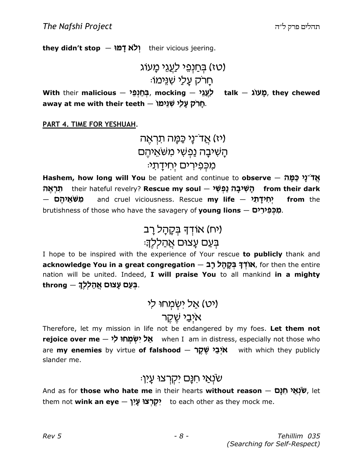they didn't stop  $-$  יְלֹא דָמוּ

וטז) בחַנְפֵי לַ<u>עֲג</u>ֵי מַעוֹג) : חַרק עַל*ַי* שׁנימו

With their malicious  $-$  מֲעֲוֹ $\frac{1}{2}$ , mocking  $\frac{1}{2}$  talk  $\frac{1}{2}$ , they chewed away at me with their teeth — חֲרֹק עָלַי שְׁגֵּימוֹ.

PART 4. TIME FOR YESHUAH.

יז) אַד־נַי כַּמַּה תוִראָה) הַשִׁיבַה נַפְשִׁי משׁאֵיהֵם מכִפירים יחידתי:

Hashem, how long will You be patient and continue to observe  $-$  אֲדֹ־נָי כַּמָּה תראה יִשְׁיבָה נַפְשִׁי — their hateful revelry? **Rescue my soul** from their dark – משאיהם <mark>ָּמְידָתָי – a</mark>nd cruel viciousness. Rescue **my life** from the brutishness of those who have the savagery of **young lions**  $-$  **מִכְּפִירִים** 

> (יח) אוֹדְךָ בְקָהָל רָב ּבִּעַם עָצוּם אֲהַלִלְךָ׃

I hope to be inspired with the experience of Your rescue to publicly thank and acknowledge You in a great congregation  $-$  בְּקַתַּל רַבּ Ethen the entire nation will be united. Indeed, I will praise You to all mankind in a mighty  $throng - \frac{1}{2}$ בְּעַם עַצוּם אֲהַלְלְךָ.

> (יט) אַל ישְמְחוּ לי איִבַי שֵׁקֵר

Therefore, let my mission in life not be endangered by my foes. Let them not r**ejoice over me — אַל יִשְׂמְחוּ לִי w**hen I am in distress, especially not those who are my enemies by virtue of falshood - אִיְבַי שֶׁקֶר with which they publicly slander me.

### :שׂנְאַי חִנָּם יקִרצוּ עָין

And as for **those who hate me** in their hearts **without reason** — ש<mark>ׁנְאַי חִנָּם,</mark> let them not **wink an eye — יִקְרְצוּ עָיִן** to each other as they mock me.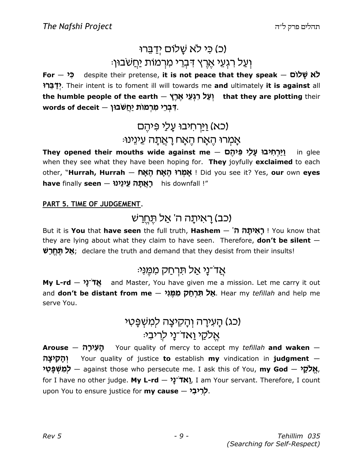# (כ) כ*י לא שֲלוֹם* יִדַּבֵּרוּ :וְעַל רִגְעֵי אֶרֶץ דִּבְרֵי מִרְמוֹת <u>יַחֲ</u>שׁבוּן

For  $-$  לֹא שָׁלוֹם despite their pretense, it is not peace that they speak - כֹּא שָׁלוֹם ידברי Their intent is to foment ill will towards me and ultimately it is against all the humble people of the earth — יְעַל רִגְעֵי אֶרֶץ that they are plotting their <mark>ִ</mark>ּדְּבְרֵי מִרְמוֹת יַחֲשֹׁבוּן – words of deceit

# <u>וירחיבו עלי פּיהֵם)</u> <u>אמרו האח האח ראתה עינינו:</u>

יִחְיבוּ עֶלַי פִּיהֶם — They opened their mouths wide against me in glee when they see what they have been hoping for. They joyfully exclaimed to each other, "**Hurrah, Hurrah — אֲמְרוּ הָאֲח הָאָם !** Did you see it? Yes, **our** own eyes have finally seen – ראתה עינינו his downfall !"

#### PART 5. TIME OF JUDGEMENT.

# (כב) רַאִיתַה ה' אַל תֵּחֵרַשׁ

But it is **You** that **have seen** the full truth, **Hashem — 'הָאִיתָה P**' You know that they are lying about what they claim to have seen. Therefore, **don't be silent**  $-$ של תחרש: declare the truth and demand that they desist from their insults!

## ּאֲד־נַי אַל תּרְחַק מְמֵנִי:

My L-rd  $\frac{1}{2}$   $\frac{1}{2}$  and Master, You have given me a mission. Let me carry it out and **don't be distant from me — אַל תִּרְחַק מִמֶּנִּי.** Hear my *tefillah* and help me serve You.

# (כג) הַעֲירַה וְהַקִיצַה לְמָשָׁפֵּטִי אַלקי ואד־נַי לריבי:

 $A$ rouse  $-$  הַעְירַה Your quality of mercy to accept my tefillah and waken  $-$ והקיצה Your quality of justice to establish my vindication in judgment  $-$ **אֱלֹקֵי — a**gainst those who persecute me. I ask this of You, **my God — אֱלֹמֵשְׁ פָּטִי** for I have no other judge. My L-rd  $-$  אֹ $\tilde{\mathcal{T}}(X)$ , I am Your servant. Therefore, I count upon You to ensure justice for **my cause – לְרִיבִי**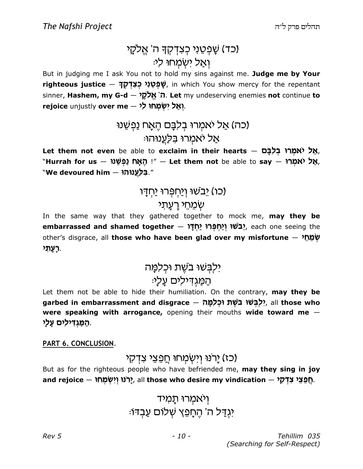# (כד) שַׁפִטֵני כִצדִקְדָּ ה' אֵלקֵי ואל ישמחו לי

But in judging me I ask You not to hold my sins against me. Judge me by Your r**ighteous justice — שְׁפְטֵנִי כְצִדְּקָךָ (**in which You show mercy for the repentant sinner, Hashem, my G-d – ה' אֱלֹקָל. Let my undeserving enemies not continue to rejoice unjustly over me – יְאַל יִשְׁמְחוּ לִי

# (כה) אַל יאמרוּ בִלְבָּם הֵאָח נַפְשֵׁנוּ אַל יאמְרוּ בִּלַעֲנוּהוּ:

Let them not even be able to exclaim in their hearts – אֲל יֹאמְרוּ בְלִבָּם, "Hurrah for us – יָהָאָח נַפְשֵׁנוּ, " — Let them not be able to say – אֲל יֹאמְרוּ, "גַלַּעֲנוּהוּ — we devoured him

# כו) יָבשׁוּ וְיַחְפִּרוּ יַחְדַו (

## שְׁמֵחֵי רַעֲתֹי

In the same way that they gathered together to mock me, may they be embarrassed and shamed together – בשׁוּ וְיַחִפְּרוּ יַחְדָּו [Uri], each one seeing the other's disgrace, all those who have been glad over my misfortune  $-$  שֹׁמַחַל ָרָעֲתָי.

# ילִבִּשׁוּ בֹשֵׁת וּכְלִמֵּה ּהַמַּגְדִילִים עַלָי:

Let them not be able to hide their humiliation. On the contrary, may they be garbed in embarrassment and disgrace — יִלְבְּשׁוּ בֹשֶׁת וּכְלִמֶּה, all those who were speaking with arrogance, opening their mouths wide toward me -ַּהַמַּגְדִּילִים עָלָי.

PART 6. CONCLUSION.

### (כז) יַרנוּ וְיִשְׂמַחוּ חֲפֵצֵי צִדְקִי

But as for the righteous people who have befriended me, may they sing in joy and rejoice — יְחֲפֵצֵי צִדְקָי, all those who desire my vindication — חֲפֵצֵי צִדְקָי

> ויאמרוּ תַמיד יִגְדַל ה' הֵחַפֵּץ שָׁלוֹם עַבְדוֹ: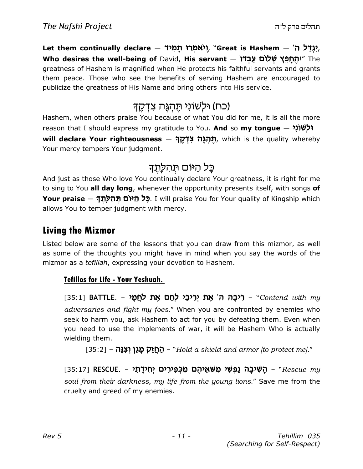Let them continually declare – יִגְדַּל ה', "Great is Hashem – ', Who desires the well-being of David, His servant - יהחפץ שלום עבדו Who desires the well-being of David, His servant greatness of Hashem is magnified when He protects his faithful servants and grants them peace. Those who see the benefits of serving Hashem are encouraged to publicize the greatness of His Name and bring others into His service.

## (כח) וּלְשׁוֹנִי תֵּהְגֶּה צִדְקֵךְ

Hashem, when others praise You because of what You did for me, it is all the more reason that I should express my gratitude to You. **And** so **my tongue** — **it الجنون بن دان** <mark>תֶּהְגֶּה צִדְּקֶךָ — will declare Your righteousness</mark> Your mercy tempers Your judgment.

# כַּל הַיּוֹם תְּהִלַּתֵךְ

And just as those Who love You continually declare Your greatness, it is right for me to sing to You all day long, whenever the opportunity presents itself, with songs of **Your praise — הָל הַיּוֹם תְּהִלְתֶךָ.** I will praise You for Your quality of Kingship which allows You to temper judgment with mercy.

### Living the Mizmor

Listed below are some of the lessons that you can draw from this mizmor, as well as some of the thoughts you might have in mind when you say the words of the mizmor as a *tefillah*, expressing your devotion to Hashem.

### Tefillos for Life - Your Yeshuah.

ַרִּיבָה ה' אֶת יְרִיבַי לְחַם אֶת לְחֲמָי - S5:1] BATTLE. – רִיבָה ה' אֶת ל adversaries and fight my foes." When you are confronted by enemies who seek to harm you, ask Hashem to act for you by defeating them. Even when you need to use the implements of war, it will be Hashem Who is actually wielding them.

[35:2] – הַחֲזֵק מְגֵן וְצִנָּה – [35:2] [35:2] – הַחֲזֵק בְּגֵן  $\blacksquare$ 

ַהָּשִׁ**יּבָה נַפְּשִׁי מִשּׁאֵיהֶם מִכְּפִירִים יְחִידָתִי** – Rescue my [35:17] soul from their darkness, my life from the young lions." Save me from the cruelty and greed of my enemies.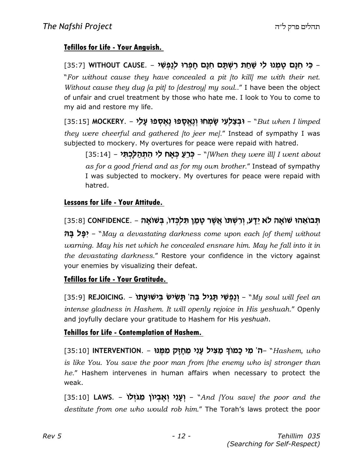#### Tefillos for Life - Your Anguish.

ַ כִּי חִנָּם טֶמְנוּ לִי שַׁחַתּ רִשְׁתָּם חִנָּם חָפְרוּ לְנַפְשִׁי – .WITHOUT CAUSE [35:7] "For without cause they have concealed a pit [to kill] me with their net. Without cause they dug [a pit] to [destroy] my soul.." I have been the object of unfair and cruel treatment by those who hate me. I look to You to come to my aid and restore my life.

[35:15] MOCKERY. – וּבְצַלְעִי שָׂמְחוּ וְנֶאֱסָפוּ נֶאֶסְפוּ עָלַי – But when I limped they were cheerful and gathered [to jeer me]." Instead of sympathy I was subjected to mockery. My overtures for peace were repaid with hatred.

[35:14] – יְּרֵעַ כְּאָח לִי הִתְהַלָּכְתִּי – [35:14] – 55:] [35:14] – - " as for a good friend and as for my own brother." Instead of sympathy I was subjected to mockery. My overtures for peace were repaid with hatred.

#### Lessons for Life - Your Attitude.

### הָבוֹאֵהוּ שׁוֹאָה לֹא יֵדָע, וְרִשְׁתּוֹ אֲשֶׁר טָמַן תִּלְכְּדוֹ, בְּשׁוֹאָה - .35:8] [35:8]

VC kP-h – "May a devastating darkness come upon each [of them] without warning. May his net which he concealed ensnare him. May he fall into it in the devastating darkness." Restore your confidence in the victory against your enemies by visualizing their defeat.

#### Tefillos for Life - Your Gratitude.

[35:9] REJOICING. – יְנַפְשִׁי תָּגִיל בַּה' תָּשִׂישׂ בִּישׁוּעָתוֹ – "My soul will feel an intense gladness in Hashem. It will openly rejoice in His yeshuah." Openly and joyfully declare your gratitude to Hashem for His yeshuah.

#### Tehillos for Life - Contemplation of Hashem.

[35:10] INTERVENTION. – ה' מִי כָמוֹךָ מַצִּיל עָנִי מֵחְזָק מִמֶּנוּ) MTERVENTION. – ה' is like You. You save the poor man from [the enemy who is] stronger than he." Hashem intervenes in human affairs when necessary to protect the weak.

[35:10] **LAWS. - יְעָנִי וְאֶבְיוֹן מִגּזְלוֹ** (35:10] LAWS. - **"And [You save] the poor and the** destitute from one who would rob him." The Torah's laws protect the poor